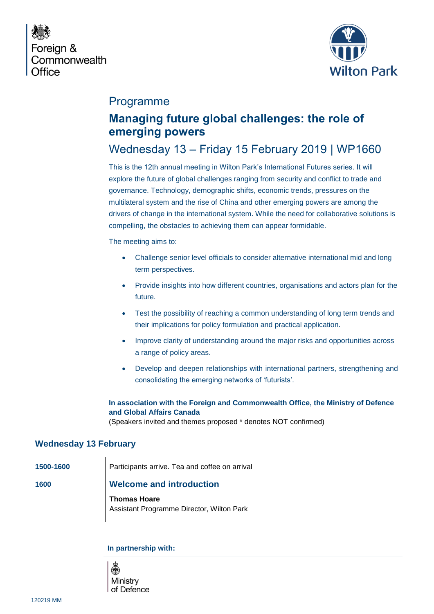



## Programme

# **Managing future global challenges: the role of emerging powers**

# Wednesday 13 – Friday 15 February 2019 | WP1660

This is the 12th annual meeting in Wilton Park's International Futures series. It will explore the future of global challenges ranging from security and conflict to trade and governance. Technology, demographic shifts, economic trends, pressures on the multilateral system and the rise of China and other emerging powers are among the drivers of change in the international system. While the need for collaborative solutions is compelling, the obstacles to achieving them can appear formidable.

The meeting aims to:

- Challenge senior level officials to consider alternative international mid and long term perspectives.
- Provide insights into how different countries, organisations and actors plan for the future.
- Test the possibility of reaching a common understanding of long term trends and their implications for policy formulation and practical application.
- Improve clarity of understanding around the major risks and opportunities across a range of policy areas.
- Develop and deepen relationships with international partners, strengthening and consolidating the emerging networks of 'futurists'.

**In association with the Foreign and Commonwealth Office, the Ministry of Defence and Global Affairs Canada**

(Speakers invited and themes proposed \* denotes NOT confirmed)

### **Wednesday 13 February**

**1500-1600** Participants arrive. Tea and coffee on arrival

### **1600 Welcome and introduction**

**Thomas Hoare** Assistant Programme Director, Wilton Park

**In partnership with:** 

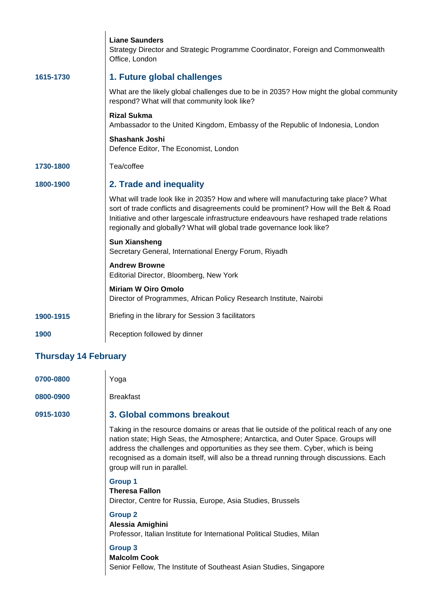|                      | <b>Liane Saunders</b><br>Strategy Director and Strategic Programme Coordinator, Foreign and Commonwealth<br>Office, London                                                                                                                                                                                                                         |  |
|----------------------|----------------------------------------------------------------------------------------------------------------------------------------------------------------------------------------------------------------------------------------------------------------------------------------------------------------------------------------------------|--|
| 1615-1730            | 1. Future global challenges                                                                                                                                                                                                                                                                                                                        |  |
|                      | What are the likely global challenges due to be in 2035? How might the global community<br>respond? What will that community look like?                                                                                                                                                                                                            |  |
|                      | <b>Rizal Sukma</b><br>Ambassador to the United Kingdom, Embassy of the Republic of Indonesia, London                                                                                                                                                                                                                                               |  |
|                      | <b>Shashank Joshi</b><br>Defence Editor, The Economist, London                                                                                                                                                                                                                                                                                     |  |
| 1730-1800            | Tea/coffee                                                                                                                                                                                                                                                                                                                                         |  |
| 1800-1900            | 2. Trade and inequality                                                                                                                                                                                                                                                                                                                            |  |
|                      | What will trade look like in 2035? How and where will manufacturing take place? What<br>sort of trade conflicts and disagreements could be prominent? How will the Belt & Road<br>Initiative and other largescale infrastructure endeavours have reshaped trade relations<br>regionally and globally? What will global trade governance look like? |  |
|                      | <b>Sun Xiansheng</b><br>Secretary General, International Energy Forum, Riyadh                                                                                                                                                                                                                                                                      |  |
|                      | <b>Andrew Browne</b><br>Editorial Director, Bloomberg, New York                                                                                                                                                                                                                                                                                    |  |
|                      | <b>Miriam W Oiro Omolo</b><br>Director of Programmes, African Policy Research Institute, Nairobi                                                                                                                                                                                                                                                   |  |
| 1900-1915            | Briefing in the library for Session 3 facilitators                                                                                                                                                                                                                                                                                                 |  |
| 1900                 | Reception followed by dinner                                                                                                                                                                                                                                                                                                                       |  |
| Thuredov 14 Fobruary |                                                                                                                                                                                                                                                                                                                                                    |  |

#### **Thursday 14 February**

| 0700-0800 | Yoga      |
|-----------|-----------|
| 0800-0900 | Breakfast |

## **0915-1030 3. Global commons breakout**

Taking in the resource domains or areas that lie outside of the political reach of any one nation state; High Seas, the Atmosphere; Antarctica, and Outer Space. Groups will address the challenges and opportunities as they see them. Cyber, which is being recognised as a domain itself, will also be a thread running through discussions. Each group will run in parallel.

#### **Group 1**

**Theresa Fallon** Director, Centre for Russia, Europe, Asia Studies, Brussels

### **Group 2**

**Alessia Amighini** Professor, Italian Institute for International Political Studies, Milan

#### **Group 3**

**Malcolm Cook** Senior Fellow, The Institute of Southeast Asian Studies, Singapore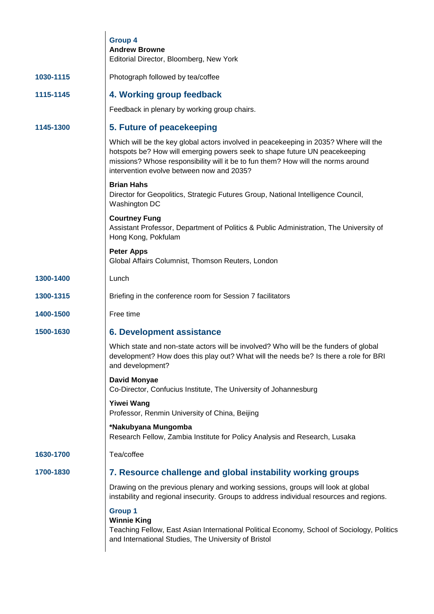|           | <b>Group 4</b><br><b>Andrew Browne</b><br>Editorial Director, Bloomberg, New York                                                                                                                                                                                                                   |
|-----------|-----------------------------------------------------------------------------------------------------------------------------------------------------------------------------------------------------------------------------------------------------------------------------------------------------|
| 1030-1115 | Photograph followed by tea/coffee                                                                                                                                                                                                                                                                   |
|           |                                                                                                                                                                                                                                                                                                     |
| 1115-1145 | 4. Working group feedback                                                                                                                                                                                                                                                                           |
|           | Feedback in plenary by working group chairs.                                                                                                                                                                                                                                                        |
| 1145-1300 | 5. Future of peacekeeping                                                                                                                                                                                                                                                                           |
|           | Which will be the key global actors involved in peacekeeping in 2035? Where will the<br>hotspots be? How will emerging powers seek to shape future UN peacekeeping<br>missions? Whose responsibility will it be to fun them? How will the norms around<br>intervention evolve between now and 2035? |
|           | <b>Brian Hahs</b><br>Director for Geopolitics, Strategic Futures Group, National Intelligence Council,<br>Washington DC                                                                                                                                                                             |
|           | <b>Courtney Fung</b><br>Assistant Professor, Department of Politics & Public Administration, The University of<br>Hong Kong, Pokfulam                                                                                                                                                               |
|           | <b>Peter Apps</b><br>Global Affairs Columnist, Thomson Reuters, London                                                                                                                                                                                                                              |
| 1300-1400 | Lunch                                                                                                                                                                                                                                                                                               |
| 1300-1315 | Briefing in the conference room for Session 7 facilitators                                                                                                                                                                                                                                          |
| 1400-1500 | Free time                                                                                                                                                                                                                                                                                           |
| 1500-1630 | <b>6. Development assistance</b>                                                                                                                                                                                                                                                                    |
|           | Which state and non-state actors will be involved? Who will be the funders of global<br>development? How does this play out? What will the needs be? Is there a role for BRI<br>and development?                                                                                                    |
|           | David Monyae<br>Co-Director, Confucius Institute, The University of Johannesburg                                                                                                                                                                                                                    |
|           | <b>Yiwei Wang</b><br>Professor, Renmin University of China, Beijing                                                                                                                                                                                                                                 |
|           | *Nakubyana Mungomba<br>Research Fellow, Zambia Institute for Policy Analysis and Research, Lusaka                                                                                                                                                                                                   |
| 1630-1700 | Tea/coffee                                                                                                                                                                                                                                                                                          |
| 1700-1830 | 7. Resource challenge and global instability working groups                                                                                                                                                                                                                                         |
|           | Drawing on the previous plenary and working sessions, groups will look at global<br>instability and regional insecurity. Groups to address individual resources and regions.                                                                                                                        |
|           | <b>Group 1</b><br><b>Winnie King</b><br>Teaching Fellow, East Asian International Political Economy, School of Sociology, Politics<br>and International Studies, The University of Bristol                                                                                                          |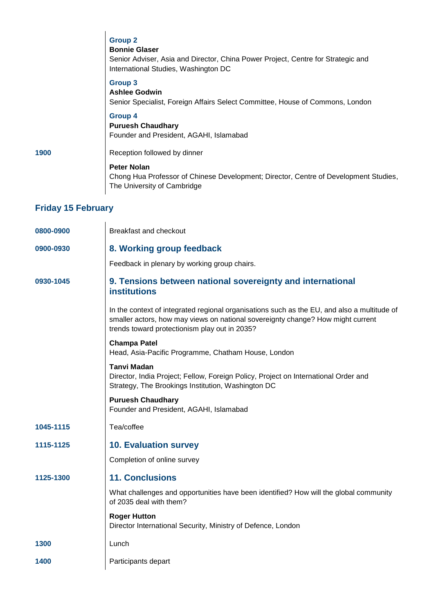|                           | <b>Group 2</b><br><b>Bonnie Glaser</b><br>Senior Adviser, Asia and Director, China Power Project, Centre for Strategic and<br>International Studies, Washington DC             |  |
|---------------------------|--------------------------------------------------------------------------------------------------------------------------------------------------------------------------------|--|
|                           | <b>Group 3</b><br><b>Ashlee Godwin</b><br>Senior Specialist, Foreign Affairs Select Committee, House of Commons, London                                                        |  |
|                           | <b>Group 4</b><br><b>Puruesh Chaudhary</b><br>Founder and President, AGAHI, Islamabad                                                                                          |  |
| 1900                      | Reception followed by dinner                                                                                                                                                   |  |
|                           | <b>Peter Nolan</b><br>Chong Hua Professor of Chinese Development; Director, Centre of Development Studies,<br>The University of Cambridge                                      |  |
| <b>Friday 15 February</b> |                                                                                                                                                                                |  |
| 0800-0900                 | <b>Breakfast and checkout</b>                                                                                                                                                  |  |
| 0900-0930                 | 8. Working group feedback                                                                                                                                                      |  |
|                           | Feedback in plenary by working group chairs.                                                                                                                                   |  |
| 0930-1045                 | 9. Tensions between national sovereignty and international<br><b>institutions</b>                                                                                              |  |
|                           | In the context of integrated regional organisations such as the EU, and also a multitude of<br>emaller actors, how may views on national sovereignty change? How might current |  |

smaller actors, how may views on national sovereignty change? How might current trends toward protectionism play out in 2035?

#### **Champa Patel** Head, Asia-Pacific Programme, Chatham House, London

**Tanvi Madan**

Director, India Project; Fellow, Foreign Policy, Project on International Order and Strategy, The Brookings Institution, Washington DC

### **Puruesh Chaudhary**

Founder and President, AGAHI, Islamabad

**1045-1115** Tea/coffee

**1115-1125 10. Evaluation survey** 

Completion of online survey

## **1125-1300 11. Conclusions**

What challenges and opportunities have been identified? How will the global community of 2035 deal with them?

#### **Roger Hutton**

Director International Security, Ministry of Defence, London

- **1300** Lunch
- **1400** Participants depart